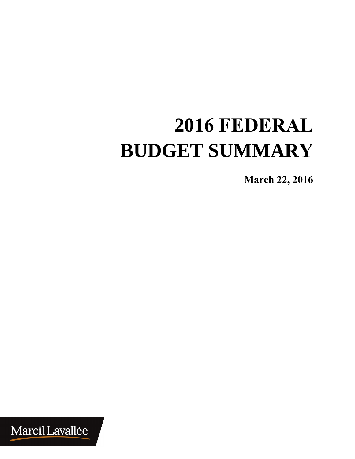# **2016 FEDERAL BUDGET SUMMARY**

**SU<sup>M</sup> March 22, <sup>201</sup><sup>6</sup>**

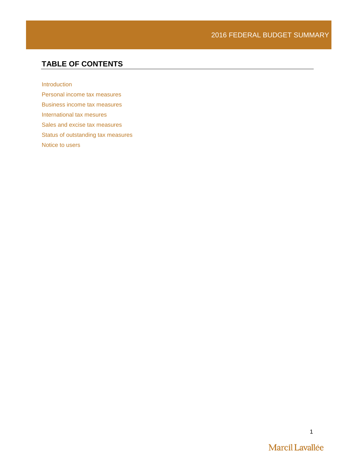# **TABLE OF CONTENTS**

[Introduction](#page-2-0)

[Personal income tax measures](#page-3-0) [Business income tax measures](#page-5-0) [International tax mesures](#page-8-0) [Sales and excise tax measures](#page-8-1) [Status of outstanding tax measures](#page-9-0) Notice to users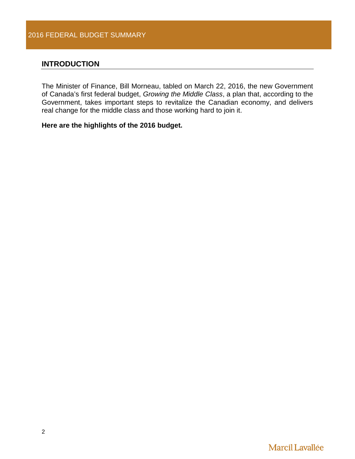# <span id="page-2-0"></span>**INTRODUCTION**

The Minister of Finance, Bill Morneau, tabled on March 22, 2016, the new Government of Canada's first federal budget, *Growing the Middle Class*, a plan that, according to the Government, takes important steps to revitalize the Canadian economy, and delivers real change for the middle class and those working hard to join it.

# **Here are the highlights of the 2016 budget.**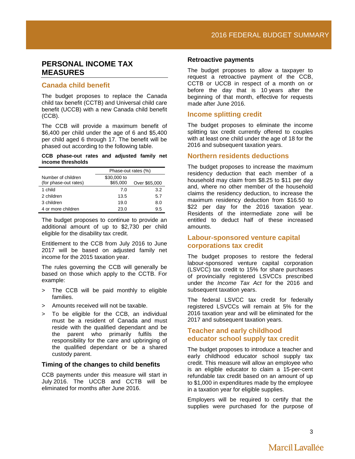# <span id="page-3-0"></span>**PERSONAL INCOME TAX MEASURES**

# **Canada child benefit**

The budget proposes to replace the Canada child tax benefit (CCTB) and Universal child care benefit (UCCB) with a new Canada child benefit (CCB).

The CCB will provide a maximum benefit of \$6,400 per child under the age of 6 and \$5,400 per child aged 6 through 17. The benefit will be phased out according to the following table.

#### **CCB phase-out rates and adjusted family net income thresholds**

|                       | Phase-out rates (%) |               |
|-----------------------|---------------------|---------------|
| Number of children    | \$30,000 to         |               |
| (for phase-out rates) | \$65,000            | Over \$65,000 |
| 1 child               | 7.0                 | 3.2           |
| 2 children            | 13.5                | 5.7           |
| 3 children            | 19.0                | 8.0           |
| 4 or more children    | 23.0                | 9.5           |

The budget proposes to continue to provide an additional amount of up to \$2,730 per child eligible for the disability tax credit.

Entitlement to the CCB from July 2016 to June 2017 will be based on adjusted family net income for the 2015 taxation year.

The rules governing the CCB will generally be based on those which apply to the CCTB. For example:

- > The CCB will be paid monthly to eligible families.
- > Amounts received will not be taxable.
- > To be eligible for the CCB, an individual must be a resident of Canada and must reside with the qualified dependant and be the parent who primarily fulfils the responsibility for the care and upbringing of the qualified dependant or be a shared custody parent.

#### **Timing of the changes to child benefits**

CCB payments under this measure will start in July 2016. The UCCB and CCTB will be eliminated for months after June 2016.

#### **Retroactive payments**

The budget proposes to allow a taxpayer to request a retroactive payment of the CCB, CCTB or UCCB in respect of a month on or before the day that is 10 years after the beginning of that month, effective for requests made after June 2016.

## **Income splitting credit**

The budget proposes to eliminate the income splitting tax credit currently offered to couples with at least one child under the age of 18 for the 2016 and subsequent taxation years.

## **Northern residents deductions**

The budget proposes to increase the maximum residency deduction that each member of a household may claim from \$8.25 to \$11 per day and, where no other member of the household claims the residency deduction, to increase the maximum residency deduction from \$16.50 to \$22 per day for the 2016 taxation year. Residents of the intermediate zone will be entitled to deduct half of these increased amounts.

# **Labour-sponsored venture capital corporations tax credit**

The budget proposes to restore the federal labour-sponsored venture capital corporation (LSVCC) tax credit to 15% for share purchases of provincially registered LSVCCs prescribed under the *Income Tax Act* for the 2016 and subsequent taxation years.

The federal LSVCC tax credit for federally registered LSVCCs will remain at 5% for the 2016 taxation year and will be eliminated for the 2017 and subsequent taxation years.

# **Teacher and early childhood educator school supply tax credit**

The budget proposes to introduce a teacher and early childhood educator school supply tax credit. This measure will allow an employee who is an eligible educator to claim a 15-per-cent refundable tax credit based on an amount of up to \$1,000 in expenditures made by the employee in a taxation year for eligible supplies.

Employers will be required to certify that the supplies were purchased for the purpose of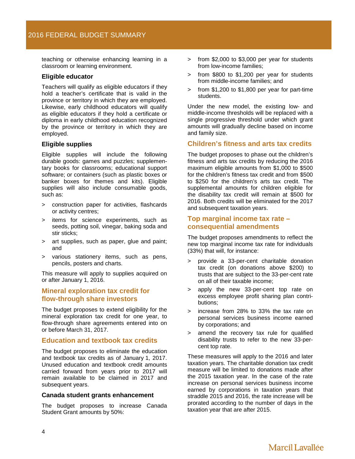teaching or otherwise enhancing learning in a classroom or learning environment.

## **Eligible educator**

Teachers will qualify as eligible educators if they hold a teacher's certificate that is valid in the province or territory in which they are employed. Likewise, early childhood educators will qualify as eligible educators if they hold a certificate or diploma in early childhood education recognized by the province or territory in which they are employed.

#### **Eligible supplies**

Eligible supplies will include the following durable goods: games and puzzles; supplementary books for classrooms; educational support software; or containers (such as plastic boxes or banker boxes for themes and kits). Eligible supplies will also include consumable goods, such as:

- > construction paper for activities, flashcards or activity centres;
- > items for science experiments, such as seeds, potting soil, vinegar, baking soda and stir sticks;
- art supplies, such as paper, glue and paint; and
- > various stationery items, such as pens, pencils, posters and charts.

This measure will apply to supplies acquired on or after January 1, 2016.

# **Mineral exploration tax credit for flow-through share investors**

The budget proposes to extend eligibility for the mineral exploration tax credit for one year, to flow-through share agreements entered into on or before March 31, 2017.

## **Education and textbook tax credits**

The budget proposes to eliminate the education and textbook tax credits as of January 1, 2017. Unused education and textbook credit amounts carried forward from years prior to 2017 will remain available to be claimed in 2017 and subsequent years.

#### **Canada student grants enhancement**

The budget proposes to increase Canada Student Grant amounts by 50%:

- > from \$2,000 to \$3,000 per year for students from low-income families;
- > from \$800 to \$1,200 per year for students from middle-income families; and
- > from \$1,200 to \$1,800 per year for part-time students.

Under the new model, the existing low- and middle-income thresholds will be replaced with a single progressive threshold under which grant amounts will gradually decline based on income and family size.

# **Children's fitness and arts tax credits**

The budget proposes to phase out the children's fitness and arts tax credits by reducing the 2016 maximum eligible amounts from \$1,000 to \$500 for the children's fitness tax credit and from \$500 to \$250 for the children's arts tax credit. The supplemental amounts for children eligible for the disability tax credit will remain at \$500 for 2016. Both credits will be eliminated for the 2017 and subsequent taxation years.

# **Top marginal income tax rate – consequential amendments**

The budget proposes amendments to reflect the new top marginal income tax rate for individuals (33%) that will, for instance:

- > provide a 33-per-cent charitable donation tax credit (on donations above \$200) to trusts that are subject to the 33-per-cent rate on all of their taxable income;
- > apply the new 33-per-cent top rate on excess employee profit sharing plan contributions;
- > increase from 28% to 33% the tax rate on personal services business income earned by corporations; and
- > amend the recovery tax rule for qualified disability trusts to refer to the new 33-percent top rate.

These measures will apply to the 2016 and later taxation years. The charitable donation tax credit measure will be limited to donations made after the 2015 taxation year. In the case of the rate increase on personal services business income earned by corporations in taxation years that straddle 2015 and 2016, the rate increase will be prorated according to the number of days in the taxation year that are after 2015.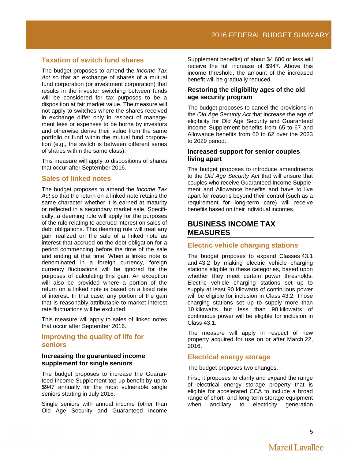# **Taxation of switch fund shares**

The budget proposes to amend the *Income Tax Act* so that an exchange of shares of a mutual fund corporation (or investment corporation) that results in the investor switching between funds will be considered for tax purposes to be a disposition at fair market value. The measure will not apply to switches where the shares received in exchange differ only in respect of management fees or expenses to be borne by investors and otherwise derive their value from the same portfolio or fund within the mutual fund corporation (e.g., the switch is between different series of shares within the same class).

This measure will apply to dispositions of shares that occur after September 2016.

#### **Sales of linked notes**

The budget proposes to amend the *Income Tax Act* so that the return on a linked note retains the same character whether it is earned at maturity or reflected in a secondary market sale. Specifically, a deeming rule will apply for the purposes of the rule relating to accrued interest on sales of debt obligations. This deeming rule will treat any gain realized on the sale of a linked note as interest that accrued on the debt obligation for a period commencing before the time of the sale and ending at that time. When a linked note is denominated in a foreign currency, foreign currency fluctuations will be ignored for the purposes of calculating this gain. An exception will also be provided where a portion of the return on a linked note is based on a fixed rate of interest. In that case, any portion of the gain that is reasonably attributable to market interest rate fluctuations will be excluded.

This measure will apply to sales of linked notes that occur after September 2016.

## **Improving the quality of life for seniors**

#### **Increasing the guaranteed income supplement for single seniors**

The budget proposes to increase the Guaranteed Income Supplement top-up benefit by up to \$947 annually for the most vulnerable single seniors starting in July 2016.

Single seniors with annual income (other than Old Age Security and Guaranteed Income

Supplement benefits) of about \$4,600 or less will receive the full increase of \$947. Above this income threshold, the amount of the increased benefit will be gradually reduced.

## **Restoring the eligibility ages of the old age security program**

The budget proposes to cancel the provisions in the *Old Age Security Act* that increase the age of eligibility for Old Age Security and Guaranteed Income Supplement benefits from 65 to 67 and Allowance benefits from 60 to 62 over the 2023 to 2029 period.

## **Increased support for senior couples living apart**

The budget proposes to introduce amendments to the *Old Age Security Act* that will ensure that couples who receive Guaranteed Income Supplement and Allowance benefits and have to live apart for reasons beyond their control (such as a requirement for long-term care) will receive benefits based on their individual incomes.

# <span id="page-5-0"></span>**BUSINESS INCOME TAX MEASURES**

# **Electric vehicle charging stations**

The budget proposes to expand Classes 43.1 and 43.2 by making electric vehicle charging stations eligible to these categories, based upon whether they meet certain power thresholds. Electric vehicle charging stations set up to supply at least 90 kilowatts of continuous power will be eligible for inclusion in Class 43.2. Those charging stations set up to supply more than 10 kilowatts but less than 90 kilowatts of continuous power will be eligible for inclusion in Class 43.1.

The measure will apply in respect of new property acquired for use on or after March 22, 2016.

# **Electrical energy storage**

The budget proposes two changes.

First, it proposes to clarify and expand the range of electrical energy storage property that is eligible for accelerated CCA to include a broad range of short- and long-term storage equipment<br>when ancillary to electricity generation ancillary to electricity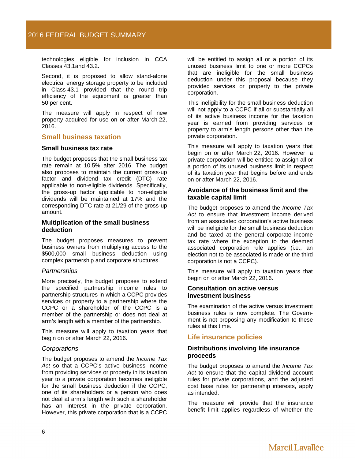technologies eligible for inclusion in CCA Classes 43.1and 43.2.

Second, it is proposed to allow stand-alone electrical energy storage property to be included in Class 43.1 provided that the round trip efficiency of the equipment is greater than 50 per cent.

The measure will apply in respect of new property acquired for use on or after March 22, 2016.

#### **Small business taxation**

#### **Small business tax rate**

The budget proposes that the small business tax rate remain at 10.5% after 2016. The budget also proposes to maintain the current gross-up factor and dividend tax credit (DTC) rate applicable to non-eligible dividends. Specifically, the gross-up factor applicable to non-eligible dividends will be maintained at 17% and the corresponding DTC rate at 21/29 of the gross-up amount.

#### **Multiplication of the small business deduction**

The budget proposes measures to prevent business owners from multiplying access to the \$500,000 small business deduction using complex partnership and corporate structures.

#### *Partnerships*

More precisely, the budget proposes to extend the specified partnership income rules to partnership structures in which a CCPC provides services or property to a partnership where the CCPC or a shareholder of the CCPC is a member of the partnership or does not deal at arm's length with a member of the partnership.

This measure will apply to taxation years that begin on or after March 22, 2016.

#### *Corporations*

The budget proposes to amend the *Income Tax Act* so that a CCPC's active business income from providing services or property in its taxation year to a private corporation becomes ineligible for the small business deduction if the CCPC, one of its shareholders or a person who does not deal at arm's length with such a shareholder has an interest in the private corporation. However, this private corporation that is a CCPC

will be entitled to assign all or a portion of its unused business limit to one or more CCPCs that are ineligible for the small business deduction under this proposal because they provided services or property to the private corporation.

This ineligibility for the small business deduction will not apply to a CCPC if all or substantially all of its active business income for the taxation year is earned from providing services or property to arm's length persons other than the private corporation.

This measure will apply to taxation years that begin on or after March 22, 2016. However, a private corporation will be entitled to assign all or a portion of its unused business limit in respect of its taxation year that begins before and ends on or after March 22, 2016.

#### **Avoidance of the business limit and the taxable capital limit**

The budget proposes to amend the *Income Tax Act* to ensure that investment income derived from an associated corporation's active business will be ineligible for the small business deduction and be taxed at the general corporate income tax rate where the exception to the deemed associated corporation rule applies (i.e., an election not to be associated is made or the third corporation is not a CCPC).

This measure will apply to taxation years that begin on or after March 22, 2016.

#### **Consultation on active versus investment business**

The examination of the active versus investment business rules is now complete. The Government is not proposing any modification to these rules at this time.

# **Life insurance policies**

#### **Distributions involving life insurance proceeds**

The budget proposes to amend the *Income Tax Act* to ensure that the capital dividend account rules for private corporations, and the adjusted cost base rules for partnership interests, apply as intended.

The measure will provide that the insurance benefit limit applies regardless of whether the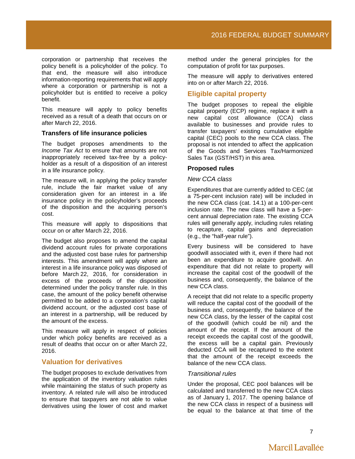corporation or partnership that receives the policy benefit is a policyholder of the policy. To that end, the measure will also introduce information-reporting requirements that will apply where a corporation or partnership is not a policyholder but is entitled to receive a policy benefit.

This measure will apply to policy benefits received as a result of a death that occurs on or after March 22, 2016.

#### **Transfers of life insurance policies**

The budget proposes amendments to the *Income Tax Act* to ensure that amounts are not inappropriately received tax-free by a policyholder as a result of a disposition of an interest in a life insurance policy.

The measure will, in applying the policy transfer rule, include the fair market value of any consideration given for an interest in a life insurance policy in the policyholder's proceeds of the disposition and the acquiring person's cost.

This measure will apply to dispositions that occur on or after March 22, 2016.

The budget also proposes to amend the capital dividend account rules for private corporations and the adjusted cost base rules for partnership interests. This amendment will apply where an interest in a life insurance policy was disposed of before March 22, 2016, for consideration in excess of the proceeds of the disposition determined under the policy transfer rule. In this case, the amount of the policy benefit otherwise permitted to be added to a corporation's capital dividend account, or the adjusted cost base of an interest in a partnership, will be reduced by the amount of the excess.

This measure will apply in respect of policies under which policy benefits are received as a result of deaths that occur on or after March 22, 2016.

# **Valuation for derivatives**

The budget proposes to exclude derivatives from the application of the inventory valuation rules while maintaining the status of such property as inventory. A related rule will also be introduced to ensure that taxpayers are not able to value derivatives using the lower of cost and market

method under the general principles for the computation of profit for tax purposes.

The measure will apply to derivatives entered into on or after March 22, 2016.

# **Eligible capital property**

The budget proposes to repeal the eligible capital property (ECP) regime, replace it with a new capital cost allowance (CCA) class available to businesses and provide rules to transfer taxpayers' existing cumulative eligible capital (CEC) pools to the new CCA class. The proposal is not intended to affect the application of the Goods and Services Tax/Harmonized Sales Tax (GST/HST) in this area.

#### **Proposed rules**

#### *New CCA class*

Expenditures that are currently added to CEC (at a 75-per-cent inclusion rate) will be included in the new CCA class (cat. 14.1) at a 100-per-cent inclusion rate. The new class will have a 5-percent annual depreciation rate. The existing CCA rules will generally apply, including rules relating to recapture, capital gains and depreciation (e.g., the "half-year rule").

Every business will be considered to have goodwill associated with it, even if there had not been an expenditure to acquire goodwill. An expenditure that did not relate to property will increase the capital cost of the goodwill of the business and, consequently, the balance of the new CCA class.

A receipt that did not relate to a specific property will reduce the capital cost of the goodwill of the business and, consequently, the balance of the new CCA class, by the lesser of the capital cost of the goodwill (which could be nil) and the amount of the receipt. If the amount of the receipt exceeds the capital cost of the goodwill, the excess will be a capital gain. Previously deducted CCA will be recaptured to the extent that the amount of the receipt exceeds the balance of the new CCA class.

#### *Transitional rules*

Under the proposal, CEC pool balances will be calculated and transferred to the new CCA class as of January 1, 2017. The opening balance of the new CCA class in respect of a business will be equal to the balance at that time of the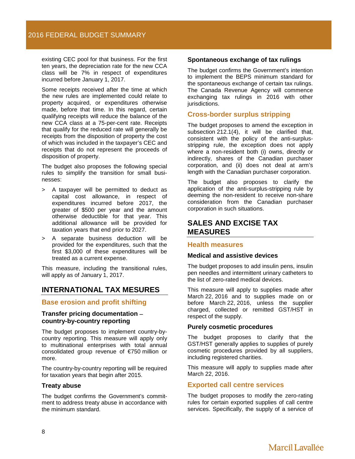existing CEC pool for that business. For the first ten years, the depreciation rate for the new CCA class will be 7% in respect of expenditures incurred before January 1, 2017.

Some receipts received after the time at which the new rules are implemented could relate to property acquired, or expenditures otherwise made, before that time. In this regard, certain qualifying receipts will reduce the balance of the new CCA class at a 75-per-cent rate. Receipts that qualify for the reduced rate will generally be receipts from the disposition of property the cost of which was included in the taxpayer's CEC and receipts that do not represent the proceeds of disposition of property.

The budget also proposes the following special rules to simplify the transition for small businesses:

- > A taxpayer will be permitted to deduct as capital cost allowance, in respect of expenditures incurred before 2017, the greater of \$500 per year and the amount otherwise deductible for that year. This additional allowance will be provided for taxation years that end prior to 2027.
- > A separate business deduction will be provided for the expenditures, such that the first \$3,000 of these expenditures will be treated as a current expense.

This measure, including the transitional rules, will apply as of January 1, 2017.

# <span id="page-8-0"></span>**INTERNATIONAL TAX MESURES**

## **Base erosion and profit shifting**

#### **Transfer pricing documentation** − **country-by-country reporting**

The budget proposes to implement country-bycountry reporting. This measure will apply only to multinational enterprises with total annual consolidated group revenue of €750 million or more.

The country-by-country reporting will be required for taxation years that begin after 2015.

#### **Treaty abuse**

The budget confirms the Government's commitment to address treaty abuse in accordance with the minimum standard.

#### **Spontaneous exchange of tax rulings**

The budget confirms the Government's intention to implement the BEPS minimum standard for the spontaneous exchange of certain tax rulings. The Canada Revenue Agency will commence exchanging tax rulings in 2016 with other jurisdictions.

# **Cross-border surplus stripping**

The budget proposes to amend the exception in subsection 212.1(4), it will be clarified that, consistent with the policy of the anti-surplusstripping rule, the exception does not apply where a non-resident both (i) owns, directly or indirectly, shares of the Canadian purchaser corporation, and (ii) does not deal at arm's length with the Canadian purchaser corporation.

The budget also proposes to clarify the application of the anti-surplus-stripping rule by deeming the non-resident to receive non-share consideration from the Canadian purchaser corporation in such situations.

# <span id="page-8-1"></span>**SALES AND EXCISE TAX MEASURES**

#### **Health measures**

#### **Medical and assistive devices**

The budget proposes to add insulin pens, insulin pen needles and intermittent urinary catheters to the list of zero-rated medical devices.

This measure will apply to supplies made after March 22, 2016 and to supplies made on or before March 22, 2016, unless the supplier charged, collected or remitted GST/HST in respect of the supply.

#### **Purely cosmetic procedures**

The budget proposes to clarify that the GST/HST generally applies to supplies of purely cosmetic procedures provided by all suppliers, including registered charities.

This measure will apply to supplies made after March 22, 2016.

## **Exported call centre services**

The budget proposes to modify the zero-rating rules for certain exported supplies of call centre services. Specifically, the supply of a service of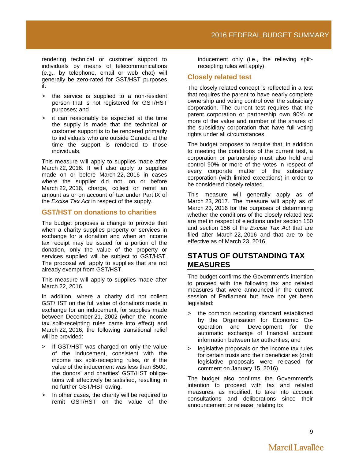rendering technical or customer support to individuals by means of telecommunications (e.g., by telephone, email or web chat) will generally be zero-rated for GST/HST purposes if:

- > the service is supplied to a non-resident person that is not registered for GST/HST purposes; and
- > it can reasonably be expected at the time the supply is made that the technical or customer support is to be rendered primarily to individuals who are outside Canada at the time the support is rendered to those individuals.

This measure will apply to supplies made after March 22, 2016. It will also apply to supplies made on or before March 22, 2016 in cases where the supplier did not, on or before March 22, 2016, charge, collect or remit an amount as or on account of tax under Part IX of the *Excise Tax Act* in respect of the supply.

# **GST/HST on donations to charities**

The budget proposes a change to provide that when a charity supplies property or services in exchange for a donation and when an income tax receipt may be issued for a portion of the donation, only the value of the property or services supplied will be subject to GST/HST. The proposal will apply to supplies that are not already exempt from GST/HST.

This measure will apply to supplies made after March 22, 2016.

In addition, where a charity did not collect GST/HST on the full value of donations made in exchange for an inducement, for supplies made between December 21, 2002 (when the income tax split-receipting rules came into effect) and March 22, 2016, the following transitional relief will be provided:

- > If GST/HST was charged on only the value of the inducement, consistent with the income tax split-receipting rules, or if the value of the inducement was less than \$500, the donors' and charities' GST/HST obligations will effectively be satisfied, resulting in no further GST/HST owing.
- > In other cases, the charity will be required to remit GST/HST on the value of the

inducement only (i.e., the relieving splitreceipting rules will apply).

# **Closely related test**

The closely related concept is reflected in a test that requires the parent to have nearly complete ownership and voting control over the subsidiary corporation. The current test requires that the parent corporation or partnership own 90% or more of the value and number of the shares of the subsidiary corporation that have full voting rights under all circumstances.

The budget proposes to require that, in addition to meeting the conditions of the current test, a corporation or partnership must also hold and control 90% or more of the votes in respect of every corporate matter of the subsidiary corporation (with limited exceptions) in order to be considered closely related.

This measure will generally apply as of March 23, 2017. The measure will apply as of March 23, 2016 for the purposes of determining whether the conditions of the closely related test are met in respect of elections under section 150 and section 156 of the *Excise Tax Act* that are filed after March 22, 2016 and that are to be effective as of March 23, 2016.

# <span id="page-9-0"></span>**STATUS OF OUTSTANDING TAX MEASURES**

The budget confirms the Government's intention to proceed with the following tax and related measures that were announced in the current session of Parliament but have not yet been legislated:

- > the common reporting standard established by the Organisation for Economic Cooperation and Development for the automatic exchange of financial account information between tax authorities; and
- > legislative proposals on the income tax rules for certain trusts and their beneficiaries (draft legislative proposals were released for comment on January 15, 2016).

The budget also confirms the Government's intention to proceed with tax and related measures, as modified, to take into account consultations and deliberations since their announcement or release, relating to: